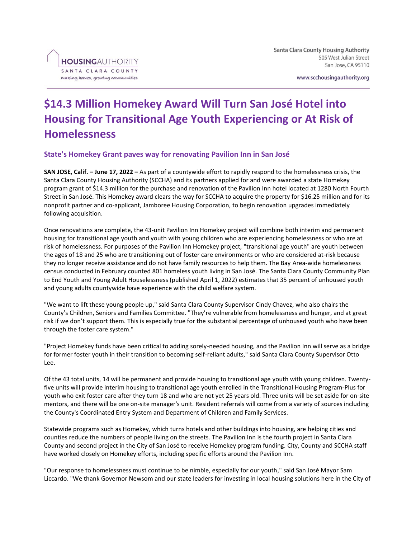www.scchousingauthority.org

# **\$14.3 Million Homekey Award Will Turn San José Hotel into Housing for Transitional Age Youth Experiencing or At Risk of Homelessness**

## **State's Homekey Grant paves way for renovating Pavilion Inn in San José**

**SAN JOSE, Calif. – June 17, 2022 –** As part of a countywide effort to rapidly respond to the homelessness crisis, the Santa Clara County Housing Authority (SCCHA) and its partners applied for and were awarded a state Homekey program grant of \$14.3 million for the purchase and renovation of the Pavilion Inn hotel located at 1280 North Fourth Street in San José. This Homekey award clears the way for SCCHA to acquire the property for \$16.25 million and for its nonprofit partner and co-applicant, Jamboree Housing Corporation, to begin renovation upgrades immediately following acquisition.

Once renovations are complete, the 43-unit Pavilion Inn Homekey project will combine both interim and permanent housing for transitional age youth and youth with young children who are experiencing homelessness or who are at risk of homelessness. For purposes of the Pavilion Inn Homekey project, "transitional age youth" are youth between the ages of 18 and 25 who are transitioning out of foster care environments or who are considered at-risk because they no longer receive assistance and do not have family resources to help them. The Bay Area-wide homelessness census conducted in February counted 801 homeless youth living in San José. The Santa Clara County Community Plan to End Youth and Young Adult Houselessness (published April 1, 2022) estimates that 35 percent of unhoused youth and young adults countywide have experience with the child welfare system.

"We want to lift these young people up," said Santa Clara County Supervisor Cindy Chavez, who also chairs the County's Children, Seniors and Families Committee. "They're vulnerable from homelessness and hunger, and at great risk if we don't support them. This is especially true for the substantial percentage of unhoused youth who have been through the foster care system."

"Project Homekey funds have been critical to adding sorely-needed housing, and the Pavilion Inn will serve as a bridge for former foster youth in their transition to becoming self-reliant adults," said Santa Clara County Supervisor Otto Lee.

Of the 43 total units, 14 will be permanent and provide housing to transitional age youth with young children. Twentyfive units will provide interim housing to transitional age youth enrolled in the Transitional Housing Program-Plus for youth who exit foster care after they turn 18 and who are not yet 25 years old. Three units will be set aside for on-site mentors, and there will be one on-site manager's unit. Resident referrals will come from a variety of sources including the County's Coordinated Entry System and Department of Children and Family Services.

Statewide programs such as Homekey, which turns hotels and other buildings into housing, are helping cities and counties reduce the numbers of people living on the streets. The Pavilion Inn is the fourth project in Santa Clara County and second project in the City of San José to receive Homekey program funding. City, County and SCCHA staff have worked closely on Homekey efforts, including specific efforts around the Pavilion Inn.

"Our response to homelessness must continue to be nimble, especially for our youth," said San José Mayor Sam Liccardo. "We thank Governor Newsom and our state leaders for investing in local housing solutions here in the City of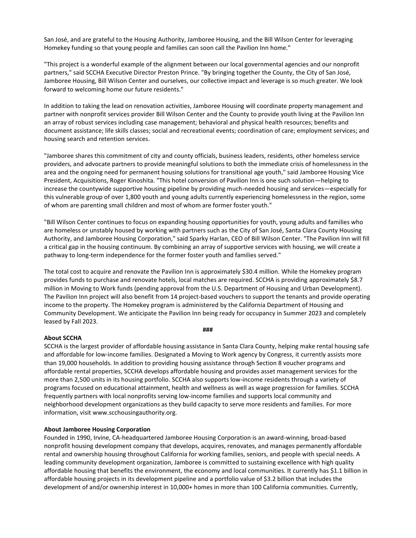San José, and are grateful to the Housing Authority, Jamboree Housing, and the Bill Wilson Center for leveraging Homekey funding so that young people and families can soon call the Pavilion Inn home."

"This project is a wonderful example of the alignment between our local governmental agencies and our nonprofit partners," said SCCHA Executive Director Preston Prince. "By bringing together the County, the City of San José, Jamboree Housing, Bill Wilson Center and ourselves, our collective impact and leverage is so much greater. We look forward to welcoming home our future residents."

In addition to taking the lead on renovation activities, Jamboree Housing will coordinate property management and partner with nonprofit services provider Bill Wilson Center and the County to provide youth living at the Pavilion Inn an array of robust services including case management; behavioral and physical health resources; benefits and document assistance; life skills classes; social and recreational events; coordination of care; employment services; and housing search and retention services.

"Jamboree shares this commitment of city and county officials, business leaders, residents, other homeless service providers, and advocate partners to provide meaningful solutions to both the immediate crisis of homelessness in the area and the ongoing need for permanent housing solutions for transitional age youth," said Jamboree Housing Vice President, Acquisitions, Roger Kinoshita. "This hotel conversion of Pavilion Inn is one such solution—helping to increase the countywide supportive housing pipeline by providing much-needed housing and services—especially for this vulnerable group of over 1,800 youth and young adults currently experiencing homelessness in the region, some of whom are parenting small children and most of whom are former foster youth."

"Bill Wilson Center continues to focus on expanding housing opportunities for youth, young adults and families who are homeless or unstably housed by working with partners such as the City of San José, Santa Clara County Housing Authority, and Jamboree Housing Corporation," said Sparky Harlan, CEO of Bill Wilson Center. "The Pavilion Inn will fill a critical gap in the housing continuum. By combining an array of supportive services with housing, we will create a pathway to long-term independence for the former foster youth and families served."

The total cost to acquire and renovate the Pavilion Inn is approximately \$30.4 million. While the Homekey program provides funds to purchase and renovate hotels, local matches are required. SCCHA is providing approximately \$8.7 million in Moving to Work funds (pending approval from the U.S. Department of Housing and Urban Development). The Pavilion Inn project will also benefit from 14 project-based vouchers to support the tenants and provide operating income to the property. The Homekey program is administered by the California Department of Housing and Community Development. We anticipate the Pavilion Inn being ready for occupancy in Summer 2023 and completely leased by Fall 2023.

#### **###**

## **About SCCHA**

SCCHA is the largest provider of affordable housing assistance in Santa Clara County, helping make rental housing safe and affordable for low-income families. Designated a Moving to Work agency by Congress, it currently assists more than 19,000 households. In addition to providing housing assistance through Section 8 voucher programs and affordable rental properties, SCCHA develops affordable housing and provides asset management services for the more than 2,500 units in its housing portfolio. SCCHA also supports low-income residents through a variety of programs focused on educational attainment, health and wellness as well as wage progression for families. SCCHA frequently partners with local nonprofits serving low-income families and supports local community and neighborhood development organizations as they build capacity to serve more residents and families. For more information, visit www.scchousingauthority.org.

## **About Jamboree Housing Corporation**

Founded in 1990, Irvine, CA-headquartered Jamboree Housing Corporation is an award-winning, broad-based nonprofit housing development company that develops, acquires, renovates, and manages permanently affordable rental and ownership housing throughout California for working families, seniors, and people with special needs. A leading community development organization, Jamboree is committed to sustaining excellence with high quality affordable housing that benefits the environment, the economy and local communities. It currently has \$1.1 billion in affordable housing projects in its development pipeline and a portfolio value of \$3.2 billion that includes the development of and/or ownership interest in 10,000+ homes in more than 100 California communities. Currently,